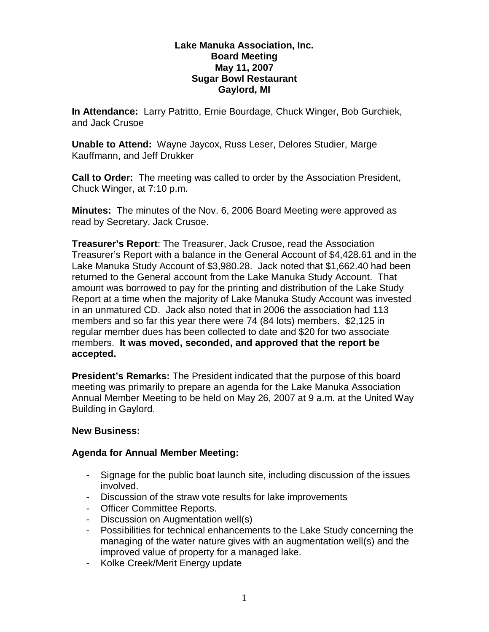#### **Lake Manuka Association, Inc. Board Meeting May 11, 2007 Sugar Bowl Restaurant Gaylord, MI**

**In Attendance:** Larry Patritto, Ernie Bourdage, Chuck Winger, Bob Gurchiek, and Jack Crusoe

**Unable to Attend:** Wayne Jaycox, Russ Leser, Delores Studier, Marge Kauffmann, and Jeff Drukker

**Call to Order:** The meeting was called to order by the Association President, Chuck Winger, at 7:10 p.m.

**Minutes:** The minutes of the Nov. 6, 2006 Board Meeting were approved as read by Secretary, Jack Crusoe.

**Treasurer's Report**: The Treasurer, Jack Crusoe, read the Association Treasurer's Report with a balance in the General Account of \$4,428.61 and in the Lake Manuka Study Account of \$3,980.28. Jack noted that \$1,662.40 had been returned to the General account from the Lake Manuka Study Account. That amount was borrowed to pay for the printing and distribution of the Lake Study Report at a time when the majority of Lake Manuka Study Account was invested in an unmatured CD. Jack also noted that in 2006 the association had 113 members and so far this year there were 74 (84 lots) members. \$2,125 in regular member dues has been collected to date and \$20 for two associate members. **It was moved, seconded, and approved that the report be accepted.**

**President's Remarks:** The President indicated that the purpose of this board meeting was primarily to prepare an agenda for the Lake Manuka Association Annual Member Meeting to be held on May 26, 2007 at 9 a.m. at the United Way Building in Gaylord.

## **New Business:**

## **Agenda for Annual Member Meeting:**

- Signage for the public boat launch site, including discussion of the issues involved.
- Discussion of the straw vote results for lake improvements
- Officer Committee Reports.
- Discussion on Augmentation well(s)
- Possibilities for technical enhancements to the Lake Study concerning the managing of the water nature gives with an augmentation well(s) and the improved value of property for a managed lake.
- Kolke Creek/Merit Energy update